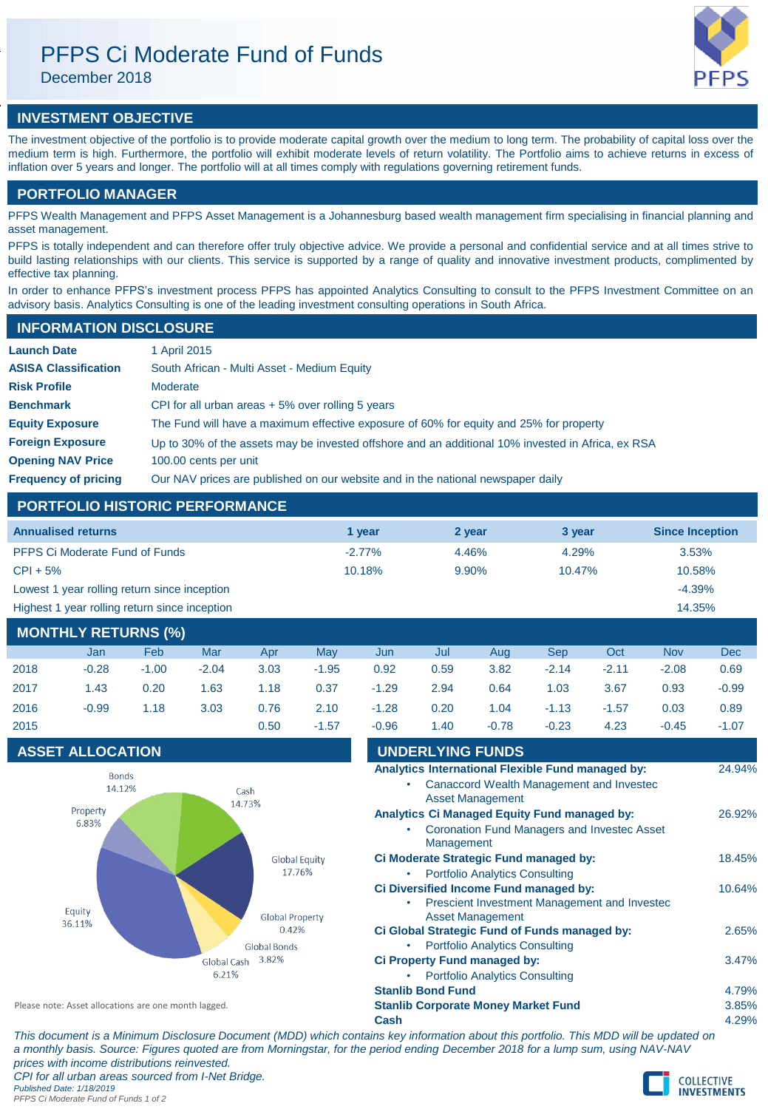# PFPS Ci Moderate Fund of Funds

December 2018

# **INVESTMENT OBJECTIVE**

The investment objective of the portfolio is to provide moderate capital growth over the medium to long term. The probability of capital loss over the medium term is high. Furthermore, the portfolio will exhibit moderate levels of return volatility. The Portfolio aims to achieve returns in excess of inflation over 5 years and longer. The portfolio will at all times comply with regulations governing retirement funds.

# **PORTFOLIO MANAGER**

PFPS Wealth Management and PFPS Asset Management is a Johannesburg based wealth management firm specialising in financial planning and asset management.

PFPS is totally independent and can therefore offer truly objective advice. We provide a personal and confidential service and at all times strive to build lasting relationships with our clients. This service is supported by a range of quality and innovative investment products, complimented by effective tax planning.

In order to enhance PFPS's investment process PFPS has appointed Analytics Consulting to consult to the PFPS Investment Committee on an advisory basis. Analytics Consulting is one of the leading investment consulting operations in South Africa.

# **INFORMATION DISCLOSURE**

| <b>Launch Date</b>          | 1 April 2015                                                                                      |
|-----------------------------|---------------------------------------------------------------------------------------------------|
| <b>ASISA Classification</b> | South African - Multi Asset - Medium Equity                                                       |
| <b>Risk Profile</b>         | Moderate                                                                                          |
| <b>Benchmark</b>            | CPI for all urban areas $+5\%$ over rolling 5 years                                               |
| <b>Equity Exposure</b>      | The Fund will have a maximum effective exposure of 60% for equity and 25% for property            |
| <b>Foreign Exposure</b>     | Up to 30% of the assets may be invested offshore and an additional 10% invested in Africa, ex RSA |
| <b>Opening NAV Price</b>    | 100.00 cents per unit                                                                             |
| <b>Frequency of pricing</b> | Our NAV prices are published on our website and in the national newspaper daily                   |

# **PORTFOLIO HISTORIC PERFORMANCE**

| <b>Annualised returns</b>                     | 1 vear    | 2 year   | 3 year | <b>Since Inception</b> |
|-----------------------------------------------|-----------|----------|--------|------------------------|
| <b>PFPS Ci Moderate Fund of Funds</b>         | $-2.77\%$ | 4.46%    | 4.29%  | 3.53%                  |
| $CPI + 5%$                                    | 10.18%    | $9.90\%$ | 10.47% | 10.58%                 |
| Lowest 1 year rolling return since inception  |           |          |        | $-4.39%$               |
| Highest 1 year rolling return since inception |           |          |        | 14.35%                 |

# **MONTHLY RETURNS (%)**

|      | Jan     | Feb     | Mar     | Apr  | May     | Jun     | Jul  | Aug     | Sep     | Oct     | <b>Nov</b> | <b>Dec</b> |
|------|---------|---------|---------|------|---------|---------|------|---------|---------|---------|------------|------------|
| 2018 | $-0.28$ | $-1.00$ | $-2.04$ | 3.03 | $-1.95$ | 0.92    | 0.59 | 3.82    | $-2.14$ | $-2.11$ | $-2.08$    | 0.69       |
| 2017 | 1.43    | 0.20    | 1.63    | 1.18 | 0.37    | $-1.29$ | 2.94 | 0.64    | 1.03    | 3.67    | 0.93       | $-0.99$    |
| 2016 | $-0.99$ | 1.18    | 3.03    | 0.76 | 2.10    | $-1.28$ | 0.20 | 1.04    | $-1.13$ | $-1.57$ | 0.03       | 0.89       |
| 2015 |         |         |         | 0.50 | $-1.57$ | $-0.96$ | 1.40 | $-0.78$ | $-0.23$ | 4.23    | $-0.45$    | $-1.07$    |

# **ASSET ALLOCATION**



| $-0.96$ | 1.40                     | $-0.78$                                    | $-0.23$                                             | 4.23 | $-0.45$ | $-1.07$ |
|---------|--------------------------|--------------------------------------------|-----------------------------------------------------|------|---------|---------|
|         |                          | <b>UNDERLYING FUNDS</b>                    |                                                     |      |         |         |
|         |                          |                                            | Analytics International Flexible Fund managed by:   |      |         | 24.94%  |
|         |                          |                                            | Canaccord Wealth Management and Investec            |      |         |         |
|         |                          | <b>Asset Management</b>                    |                                                     |      |         |         |
|         |                          |                                            | <b>Analytics Ci Managed Equity Fund managed by:</b> |      |         | 26.92%  |
|         |                          |                                            | <b>Coronation Fund Managers and Investec Asset</b>  |      |         |         |
|         | Management               |                                            |                                                     |      |         |         |
|         |                          |                                            | Ci Moderate Strategic Fund managed by:              |      |         | 18.45%  |
|         |                          | <b>Portfolio Analytics Consulting</b>      |                                                     |      |         |         |
|         |                          |                                            | Ci Diversified Income Fund managed by:              |      |         | 10.64%  |
|         |                          |                                            | Prescient Investment Management and Investec        |      |         |         |
|         |                          | <b>Asset Management</b>                    |                                                     |      |         |         |
|         |                          |                                            | Ci Global Strategic Fund of Funds managed by:       |      |         | 2.65%   |
|         |                          | <b>Portfolio Analytics Consulting</b>      |                                                     |      |         |         |
|         |                          | Ci Property Fund managed by:               |                                                     |      |         | 3.47%   |
|         |                          | <b>Portfolio Analytics Consulting</b>      |                                                     |      |         |         |
|         | <b>Stanlib Bond Fund</b> |                                            |                                                     |      |         | 4.79%   |
|         |                          | <b>Stanlib Corporate Money Market Fund</b> |                                                     |      |         | 3.85%   |
| Cash    |                          |                                            |                                                     |      |         | 4.29%   |

Please note: Asset allocations are one month lagged.

*This document is a Minimum Disclosure Document (MDD) which contains key information about this portfolio. This MDD will be updated on a monthly basis. Source: Figures quoted are from Morningstar, for the period ending December 2018 for a lump sum, using NAV-NAV prices with income distributions reinvested. CPI for all urban areas sourced from I-Net Bridge. Published Date: 1/18/2019 PFPS Ci Moderate Fund of Funds 1 of 2*